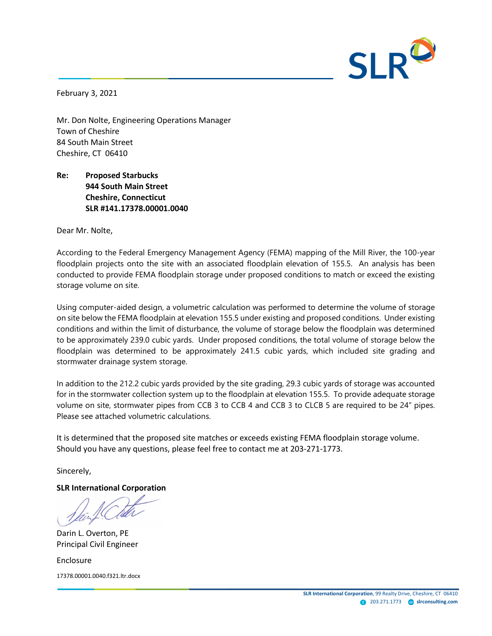

February 3, 2021

Mr. Don Nolte, Engineering Operations Manager Town of Cheshire 84 South Main Street Cheshire, CT 06410

# **Re: Proposed Starbucks 944 South Main Street Cheshire, Connecticut SLR #141.17378.00001.0040**

Dear Mr. Nolte,

According to the Federal Emergency Management Agency (FEMA) mapping of the Mill River, the 100-year floodplain projects onto the site with an associated floodplain elevation of 155.5. An analysis has been conducted to provide FEMA floodplain storage under proposed conditions to match or exceed the existing storage volume on site.

Using computer-aided design, a volumetric calculation was performed to determine the volume of storage on site below the FEMA floodplain at elevation 155.5 under existing and proposed conditions. Under existing conditions and within the limit of disturbance, the volume of storage below the floodplain was determined to be approximately 239.0 cubic yards. Under proposed conditions, the total volume of storage below the floodplain was determined to be approximately 241.5 cubic yards, which included site grading and stormwater drainage system storage.

In addition to the 212.2 cubic yards provided by the site grading, 29.3 cubic yards of storage was accounted for in the stormwater collection system up to the floodplain at elevation 155.5. To provide adequate storage volume on site, stormwater pipes from CCB 3 to CCB 4 and CCB 3 to CLCB 5 are required to be 24" pipes. Please see attached volumetric calculations.

It is determined that the proposed site matches or exceeds existing FEMA floodplain storage volume. Should you have any questions, please feel free to contact me at 203-271-1773.

Sincerely,

**SLR International Corporation**

Darin L. Overton, PE Principal Civil Engineer

Enclosure 17378.00001.0040.f321.ltr.docx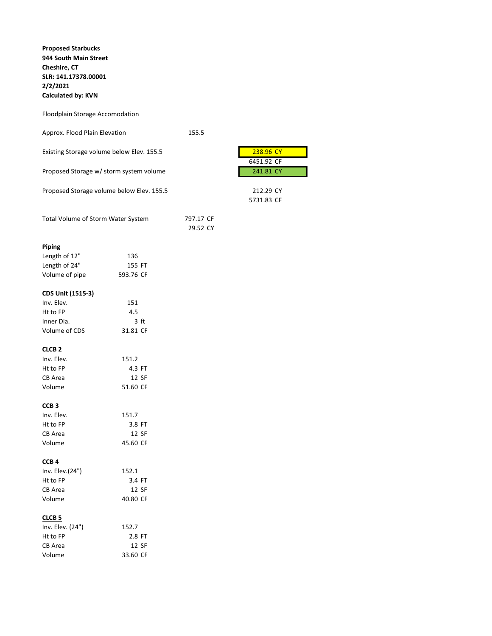**Proposed Starbucks 944 South Main Street Cheshire, CT SLR: 141.17378.00001 2/2/2021 Calculated by: KVN**

## Floodplain Storage Accomodation

| Approx. Flood Plain Elevation | 155.5 |
|-------------------------------|-------|
|                               |       |

| 238.96 CY<br>Existing Storage volume below Elev. 155.5 |  |
|--------------------------------------------------------|--|
|--------------------------------------------------------|--|

Proposed Storage w/ storm system volume

Proposed Storage volume below Elev. 155.5 212.29 CY

| Total Volume of Storm Water System | 797.17 CF |
|------------------------------------|-----------|
|                                    | 29.52 CY  |

## **Piping**

| Length of 12"  | 136       |
|----------------|-----------|
| Length of 24"  | 155 FT    |
| Volume of pipe | 593.76 CF |

## **CDS Unit (1515-3)**

| 151      |
|----------|
| 4.5      |
| 3 ft     |
| 31.81 CF |
|          |

#### **CLCB 2**

| 151.2    |
|----------|
| 4.3 FT   |
| 12 SF    |
| 51.60 CF |
|          |

## **CCB 3**

| Inv. Elev. | 151.7    |
|------------|----------|
| Ht to FP   | 3.8 FT   |
| CB Area    | 12 SF    |
| Volume     | 45.60 CF |

## **CCB 4**

| Inv. Elev.(24") | 152.1    |
|-----------------|----------|
| Ht to FP        | 3.4 FT   |
| CB Area         | 12 SF    |
| Volume          | 40.80 CF |

### **CLCB 5**

| 152.7    |
|----------|
| 2.8 FT   |
| 12 SF    |
| 33.60 CF |
|          |

| 238.96 CY  |  |
|------------|--|
| 6451.92 CF |  |
| 241.81 CY  |  |

5731.83 CF